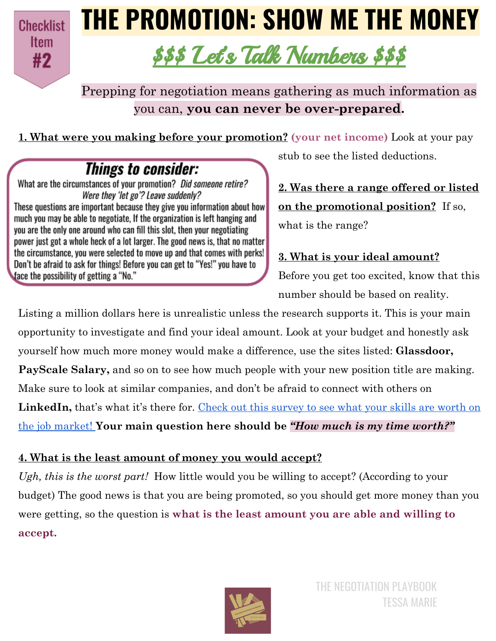**Checklist Item** #2

## **THE PROMOTION: SHOW ME THE MONEY**

### \$\$\$ Let' s Talk Numbers \$\$\$

Prepping for negotiation means gathering as much information as you can, **you can never be over-prepared.**

**1. What were you making before your promotion? (your net income)** Look at your pay

### **Things to consider:**

What are the circumstances of your promotion? Did someone retire? Were they 'let go'? Leave suddenly? These questions are important because they give you information about how much you may be able to negotiate. If the organization is left hanging and you are the only one around who can fill this slot, then your negotiating power just got a whole heck of a lot larger. The good news is, that no matter the circumstance, you were selected to move up and that comes with perks! Don't be afraid to ask for things! Before you can get to "Yes!" you have to face the possibility of getting a "No."

stub to see the listed deductions.

**2. Was there a range offered or listed on the promotional position?** If so, what is the range?

#### **3. What is your ideal amount?**

Before you get too excited, know that this number should be based on reality.

Listing a million dollars here is unrealistic unless the research supports it. This is your main opportunity to investigate and find your ideal amount. Look at your budget and honestly ask yourself how much more money would make a difference, use the sites listed: **Glassdoor, PayScale Salary,** and so on to see how much people with your new position title are making. Make sure to look at similar companies, and don't be afraid to connect with others on LinkedIn, that's what it's there for. Check out this [survey](https://www.payscale.com/research/US/Country=United_States/Salary) to see what your skills are worth on the job [market!](https://www.payscale.com/research/US/Country=United_States/Salary) **Your main question here should be** *"How much is my time worth?"*

#### **4. What is the least amount of money you would accept?**

*Ugh, this is the worst part!* How little would you be willing to accept? (According to your budget) The good news is that you are being promoted, so you should get more money than you were getting, so the question is **what is the least amount you are able and willing to accept.**

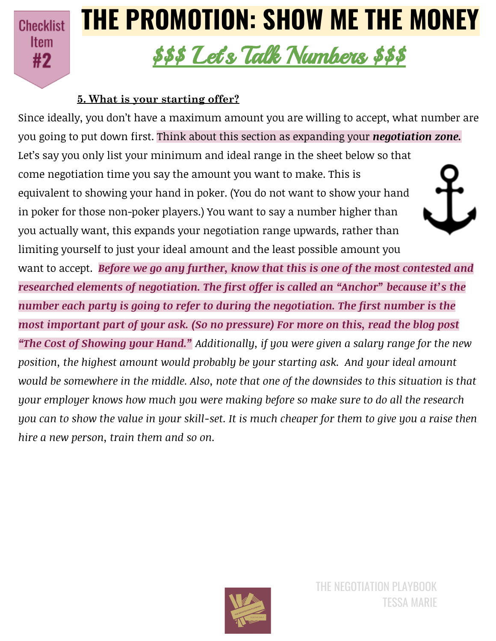**Checklist Item** #2

# **THE PROMOTION: SHOW ME THE MONEY**

### \$\$\$ Let' s Talk Numbers \$\$\$

#### **5. What is your starting offer?**

Since ideally, you don't have a maximum amount you are willing to accept, what number are you going to put down first. Think about this section as expanding your *negotiation zone.* Let's say you only list your minimum and ideal range in the sheet below so that come negotiation time you say the amount you want to make. This is equivalent to showing your hand in poker. (You do not want to show your hand in poker for those non-poker players.) You want to say a number higher than you actually want, this expands your negotiation range upwards, rather than limiting yourself to just your ideal amount and the least possible amount you want to accept. *Before we go any further, know that this is one of the most contested and researched elements of negotiation. The first offer is called an "Anchor" because it's the number each party is going to refer to during the negotiation. The first number is the most important part of your ask. (So no pressure) For more on this, read the blog post "The Cost of Showing your Hand." Additionally, if you were given a salary range for the new position, the highest amount would probably be your starting ask. And your ideal amount would be somewhere in the middle. Also, note that one of the downsides to this situation is that your employer knows how much you were making before so make sure to do all the research* you can to show the value in your skill-set. It is much cheaper for them to give you a raise then *hire a new person, train them and so on.*

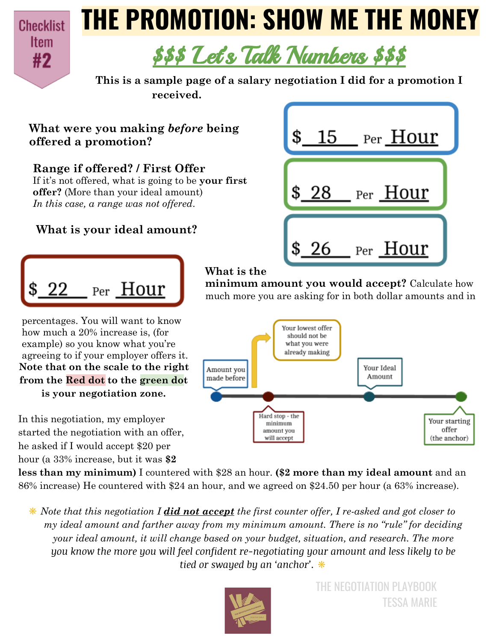

## **THE PROMOTION: SHOW ME THE MONEY**



**This is a sample page of a salary negotiation I did for a promotion I received.**

#### **What were you making** *before* **being offered a promotion?**

#### **Range if offered? / First Offer**

If it's not offered, what is going to be **your first offer?** (More than your ideal amount) *In this case, a range was not offered*.

#### **What is your ideal amount?**

Per Hour

percentages. You will want to know how much a 20% increase is, (for example) so you know what you're

**is your negotiation zone.**

started the negotiation with an offer, he asked if I would accept \$20 per

In this negotiation, my employer



#### **What is the**

**minimum amount you would accept?** Calculate how much more you are asking for in both dollar amounts and in



hour (a 33% increase, but it was **\$2 less than my minimum)** I countered with \$28 an hour. **(\$2 more than my ideal amount** and an 86% increase) He countered with \$24 an hour, and we agreed on \$24.50 per hour (a 63% increase).

❋ *Note that this negotiation I did not accept the first counter offer, I re-asked and got closer to my ideal amount and farther away from my minimum amount. There is no "rule" for deciding your ideal amount, it will change based on your budget, situation, and research. The more you know the more you will feel confident re-negotiating your amount and less likely to be tied or swayed by an 'anchor'.* ❋



THE NEGOTIATION PLAYBOOK TESSA MARIE